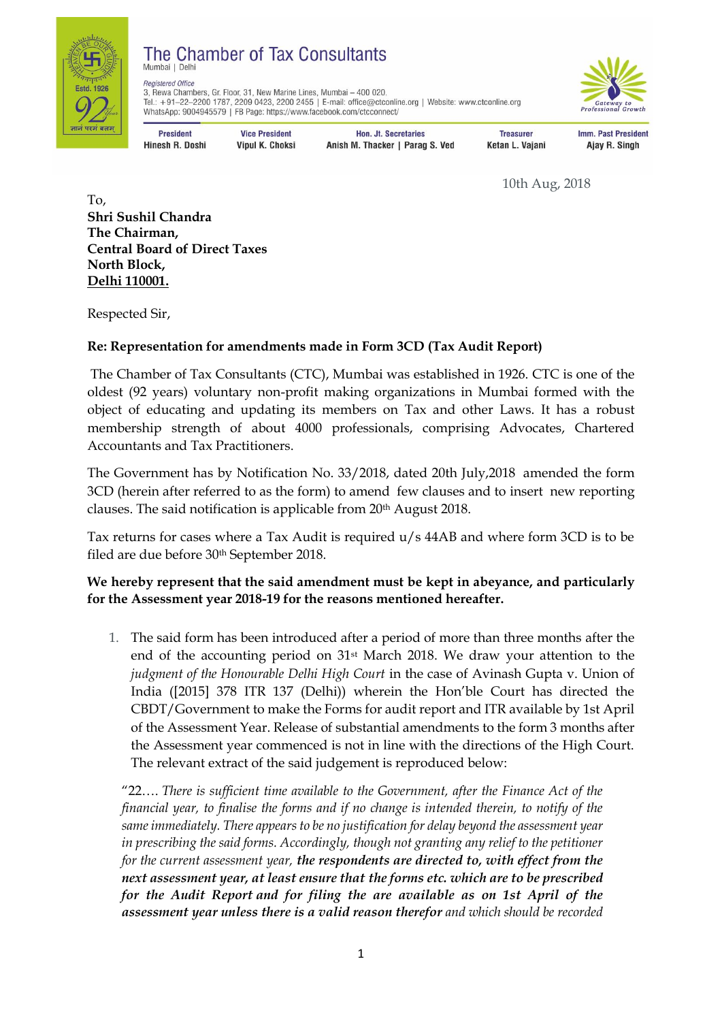

#### The Chamber of Tax Consultants Mumbai I Delh

**Registered Office** 3, Rewa Chambers, Gr. Floor, 31, New Marine Lines, Mumbai - 400 020. Tel.: +91-22-2200 1787, 2209 0423, 2200 2455 | E-mail: office@ctconline.org | Website: www.ctconline.org WhatsApp: 9004945579 | FB Page: https://www.facebook.com/ctcconnect/



**President Hinesh R. Doshi** 

**Vice President Vipul K. Choksi** 

**Hon. Jt. Secretaries** Anish M. Thacker | Parag S. Ved

**Treasurer** Ketan L. Vajani

**Imm. Past President** Ajay R. Singh

10th Aug, 2018

To, **Shri Sushil Chandra The Chairman, Central Board of Direct Taxes North Block, Delhi 110001.** 

Respected Sir,

# **Re: Representation for amendments made in Form 3CD (Tax Audit Report)**

The Chamber of Tax Consultants (CTC), Mumbai was established in 1926. CTC is one of the oldest (92 years) voluntary non-profit making organizations in Mumbai formed with the object of educating and updating its members on Tax and other Laws. It has a robust membership strength of about 4000 professionals, comprising Advocates, Chartered Accountants and Tax Practitioners.

The Government has by [Notification No. 33/2018, dated 20th July,2018](https://taxguru.in/income-tax/cbdt-amends-format-form-3cd-wef-20th-august-2018.html) amended the form 3CD (herein after referred to as the form) to amend few clauses and to insert new reporting clauses. The said notification is applicable from 20th August 2018.

Tax returns for cases where a Tax Audit is required u/s 44AB and where form 3CD is to be filed are due before 30th September 2018.

## **We hereby represent that the said amendment must be kept in abeyance, and particularly for the Assessment year 2018-19 for the reasons mentioned hereafter.**

1. The said form has been introduced after a period of more than three months after the end of the accounting period on 31st March 2018. We draw your attention to the *judgment of the Honourable Delhi High Court* in the case of Avinash Gupta v. Union of India ([2015] 378 ITR 137 (Delhi)) wherein the Hon'ble Court has directed the CBDT/Government to make the Forms for audit report and ITR available by 1st April of the Assessment Year. Release of substantial amendments to the form 3 months after the Assessment year commenced is not in line with the directions of the High Court. The relevant extract of the said judgement is reproduced below:

"22…. *There is sufficient time available to the Government, after the Finance Act of the financial year, to finalise the forms and if no change is intended therein, to notify of the same immediately. There appears to be no justification for delay beyond the assessment year in prescribing the said forms. Accordingly, though not granting any relief to the petitioner for the current assessment year, the respondents are directed to, with effect from the next assessment year, at least ensure that the forms etc. which are to be prescribed for the Audit Report and for filing the are available as on 1st April of the assessment year unless there is a valid reason therefor and which should be recorded*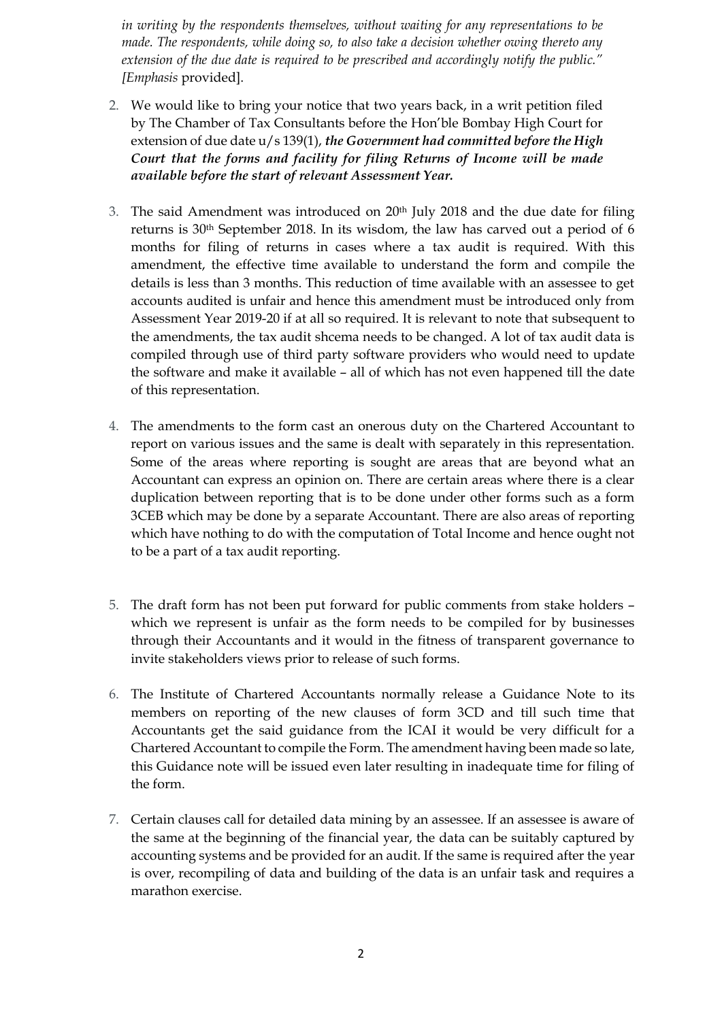*in writing by the respondents themselves, without waiting for any representations to be made. The respondents, while doing so, to also take a decision whether owing thereto any extension of the due date is required to be prescribed and accordingly notify the public." [Emphasis* provided].

- 2. We would like to bring your notice that two years back, in a writ petition filed by The Chamber of Tax Consultants before the Hon'ble Bombay High Court for extension of due date u/s 139(1), *the Government had committed before the High Court that the forms and facility for filing Returns of Income will be made available before the start of relevant Assessment Year.*
- 3. The said Amendment was introduced on  $20<sup>th</sup>$  July 2018 and the due date for filing returns is 30th September 2018. In its wisdom, the law has carved out a period of 6 months for filing of returns in cases where a tax audit is required. With this amendment, the effective time available to understand the form and compile the details is less than 3 months. This reduction of time available with an assessee to get accounts audited is unfair and hence this amendment must be introduced only from Assessment Year 2019-20 if at all so required. It is relevant to note that subsequent to the amendments, the tax audit shcema needs to be changed. A lot of tax audit data is compiled through use of third party software providers who would need to update the software and make it available – all of which has not even happened till the date of this representation.
- 4. The amendments to the form cast an onerous duty on the Chartered Accountant to report on various issues and the same is dealt with separately in this representation. Some of the areas where reporting is sought are areas that are beyond what an Accountant can express an opinion on. There are certain areas where there is a clear duplication between reporting that is to be done under other forms such as a form 3CEB which may be done by a separate Accountant. There are also areas of reporting which have nothing to do with the computation of Total Income and hence ought not to be a part of a tax audit reporting.
- 5. The draft form has not been put forward for public comments from stake holders which we represent is unfair as the form needs to be compiled for by businesses through their Accountants and it would in the fitness of transparent governance to invite stakeholders views prior to release of such forms.
- 6. The Institute of Chartered Accountants normally release a Guidance Note to its members on reporting of the new clauses of form 3CD and till such time that Accountants get the said guidance from the ICAI it would be very difficult for a Chartered Accountant to compile the Form. The amendment having been made so late, this Guidance note will be issued even later resulting in inadequate time for filing of the form.
- 7. Certain clauses call for detailed data mining by an assessee. If an assessee is aware of the same at the beginning of the financial year, the data can be suitably captured by accounting systems and be provided for an audit. If the same is required after the year is over, recompiling of data and building of the data is an unfair task and requires a marathon exercise.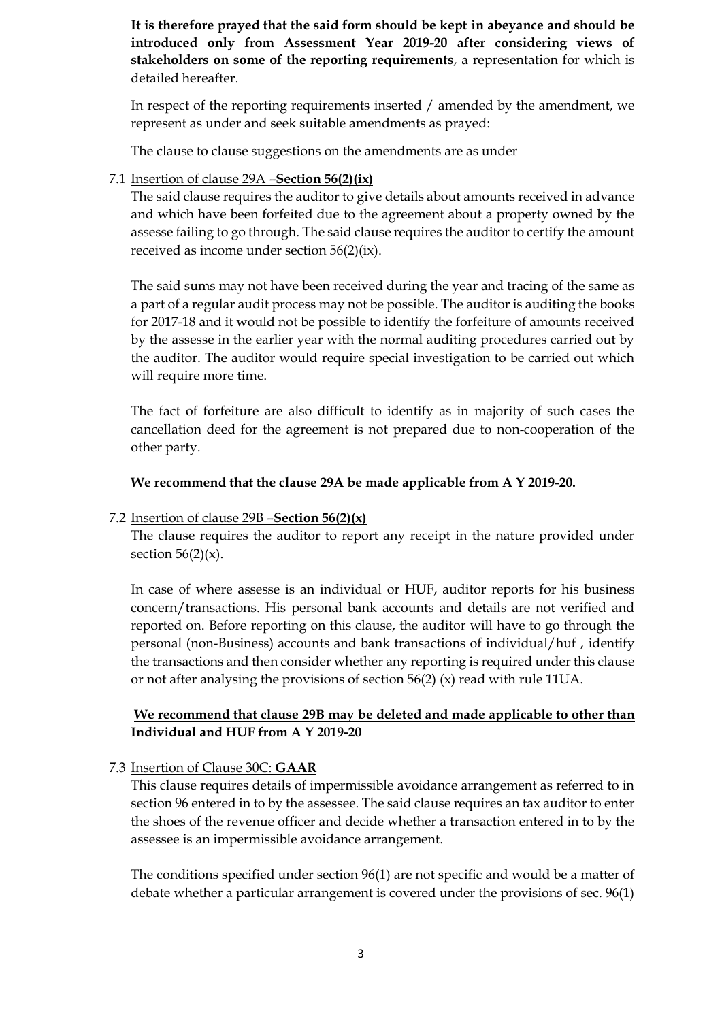**It is therefore prayed that the said form should be kept in abeyance and should be introduced only from Assessment Year 2019-20 after considering views of stakeholders on some of the reporting requirements**, a representation for which is detailed hereafter.

In respect of the reporting requirements inserted / amended by the amendment, we represent as under and seek suitable amendments as prayed:

The clause to clause suggestions on the amendments are as under

#### 7.1 Insertion of clause 29A –**Section 56(2)(ix)**

The said clause requires the auditor to give details about amounts received in advance and which have been forfeited due to the agreement about a property owned by the assesse failing to go through. The said clause requires the auditor to certify the amount received as income under section 56(2)(ix).

The said sums may not have been received during the year and tracing of the same as a part of a regular audit process may not be possible. The auditor is auditing the books for 2017-18 and it would not be possible to identify the forfeiture of amounts received by the assesse in the earlier year with the normal auditing procedures carried out by the auditor. The auditor would require special investigation to be carried out which will require more time.

The fact of forfeiture are also difficult to identify as in majority of such cases the cancellation deed for the agreement is not prepared due to non-cooperation of the other party.

#### **We recommend that the clause 29A be made applicable from A Y 2019-20.**

#### 7.2 Insertion of clause 29B –**Section 56(2)(x)**

The clause requires the auditor to report any receipt in the nature provided under section  $56(2)(x)$ .

In case of where assesse is an individual or HUF, auditor reports for his business concern/transactions. His personal bank accounts and details are not verified and reported on. Before reporting on this clause, the auditor will have to go through the personal (non-Business) accounts and bank transactions of individual/huf , identify the transactions and then consider whether any reporting is required under this clause or not after analysing the provisions of section 56(2) (x) read with rule 11UA.

## **We recommend that clause 29B may be deleted and made applicable to other than Individual and HUF from A Y 2019-20**

#### 7.3 Insertion of Clause 30C: **GAAR**

This clause requires details of impermissible avoidance arrangement as referred to in section 96 entered in to by the assessee. The said clause requires an tax auditor to enter the shoes of the revenue officer and decide whether a transaction entered in to by the assessee is an impermissible avoidance arrangement.

The conditions specified under section 96(1) are not specific and would be a matter of debate whether a particular arrangement is covered under the provisions of sec. 96(1)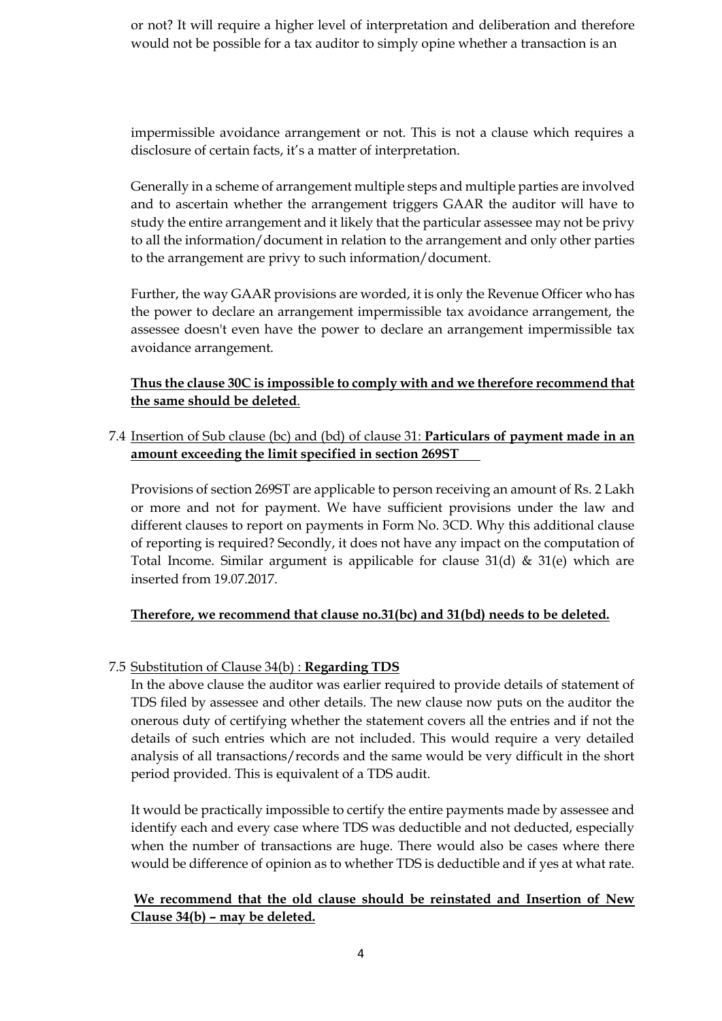or not? It will require a higher level of interpretation and deliberation and therefore would not be possible for a tax auditor to simply opine whether a transaction is an

impermissible avoidance arrangement or not. This is not a clause which requires a disclosure of certain facts, it's a matter of interpretation.

Generally in a scheme of arrangement multiple steps and multiple parties are involved and to ascertain whether the arrangement triggers GAAR the auditor will have to study the entire arrangement and it likely that the particular assessee may not be privy to all the information/document in relation to the arrangement and only other parties to the arrangement are privy to such information/document.

Further, the way GAAR provisions are worded, it is only the Revenue Officer who has the power to declare an arrangement impermissible tax avoidance arrangement, the assessee doesn't even have the power to declare an arrangement impermissible tax avoidance arrangement.

**Thus the clause 30C is impossible to comply with and we therefore recommend that the same should be deleted**.

## 7.4 Insertion of Sub clause (bc) and (bd) of clause 31: **Particulars of payment made in an amount exceeding the limit specified in section 269ST**

Provisions of section 269ST are applicable to person receiving an amount of Rs. 2 Lakh or more and not for payment. We have sufficient provisions under the law and different clauses to report on payments in Form No. 3CD. Why this additional clause of reporting is required? Secondly, it does not have any impact on the computation of Total Income. Similar argument is appilicable for clause  $31(d)$  &  $31(e)$  which are inserted from 19.07.2017.

## **Therefore, we recommend that clause no.31(bc) and 31(bd) needs to be deleted.**

## 7.5 Substitution of Clause 34(b) : **Regarding TDS**

In the above clause the auditor was earlier required to provide details of statement of TDS filed by assessee and other details. The new clause now puts on the auditor the onerous duty of certifying whether the statement covers all the entries and if not the details of such entries which are not included. This would require a very detailed analysis of all transactions/records and the same would be very difficult in the short period provided. This is equivalent of a TDS audit.

It would be practically impossible to certify the entire payments made by assessee and identify each and every case where TDS was deductible and not deducted, especially when the number of transactions are huge. There would also be cases where there would be difference of opinion as to whether TDS is deductible and if yes at what rate.

## **We recommend that the old clause should be reinstated and Insertion of New Clause 34(b) – may be deleted.**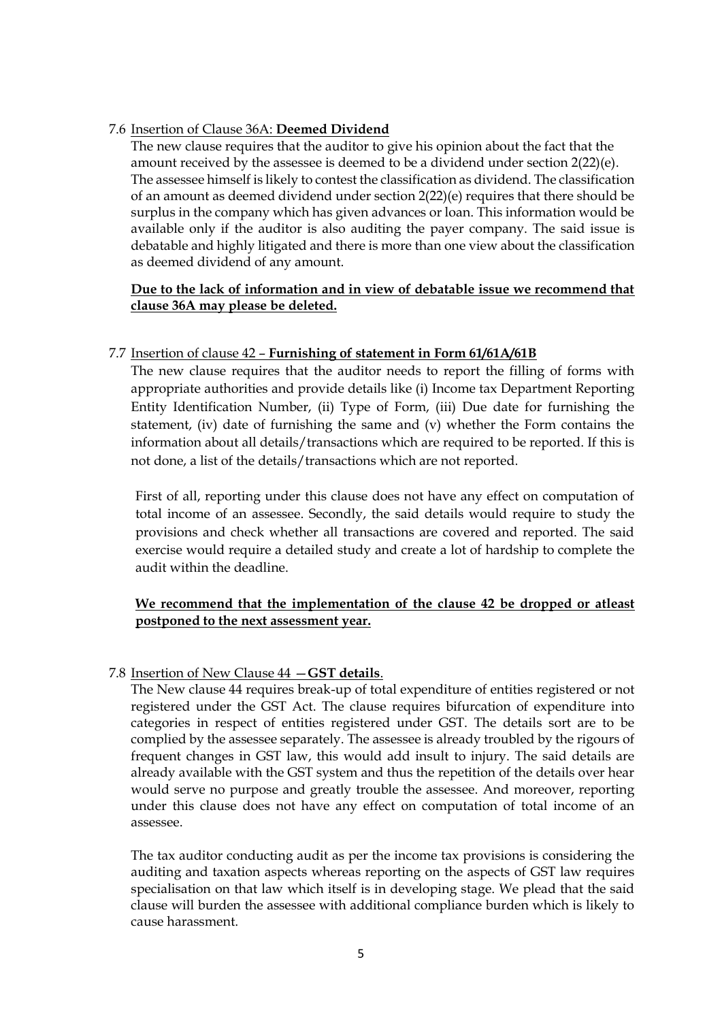#### 7.6 Insertion of Clause 36A: **Deemed Dividend**

The new clause requires that the auditor to give his opinion about the fact that the amount received by the assessee is deemed to be a dividend under section 2(22)(e). The assessee himself is likely to contest the classification as dividend. The classification of an amount as deemed dividend under section 2(22)(e) requires that there should be surplus in the company which has given advances or loan. This information would be available only if the auditor is also auditing the payer company. The said issue is debatable and highly litigated and there is more than one view about the classification as deemed dividend of any amount.

## **Due to the lack of information and in view of debatable issue we recommend that clause 36A may please be deleted.**

## 7.7 Insertion of clause 42 – **Furnishing of statement in Form 61/61A/61B**

The new clause requires that the auditor needs to report the filling of forms with appropriate authorities and provide details like (i) Income tax Department Reporting Entity Identification Number, (ii) Type of Form, (iii) Due date for furnishing the statement, (iv) date of furnishing the same and (v) whether the Form contains the information about all details/transactions which are required to be reported. If this is not done, a list of the details/transactions which are not reported.

First of all, reporting under this clause does not have any effect on computation of total income of an assessee. Secondly, the said details would require to study the provisions and check whether all transactions are covered and reported. The said exercise would require a detailed study and create a lot of hardship to complete the audit within the deadline.

## **We recommend that the implementation of the clause 42 be dropped or atleast postponed to the next assessment year.**

## 7.8 Insertion of New Clause 44 —**GST details**.

The New clause 44 requires break-up of total expenditure of entities registered or not registered under the GST Act. The clause requires bifurcation of expenditure into categories in respect of entities registered under GST. The details sort are to be complied by the assessee separately. The assessee is already troubled by the rigours of frequent changes in GST law, this would add insult to injury. The said details are already available with the GST system and thus the repetition of the details over hear would serve no purpose and greatly trouble the assessee. And moreover, reporting under this clause does not have any effect on computation of total income of an assessee.

The tax auditor conducting audit as per the income tax provisions is considering the auditing and taxation aspects whereas reporting on the aspects of GST law requires specialisation on that law which itself is in developing stage. We plead that the said clause will burden the assessee with additional compliance burden which is likely to cause harassment.